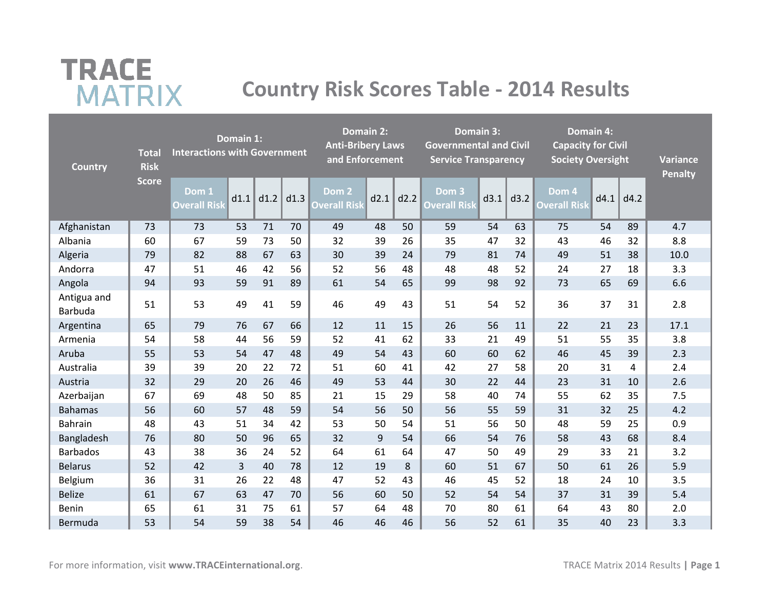# **TRACE MATRIX**

## **Country Risk Scores Table - 2014 Results**

| <b>Country</b>         | <b>Total</b><br><b>Risk</b> | <b>Interactions with Government</b> | Domain 1: |      |      | Domain 2:<br><b>Anti-Bribery Laws</b><br>and <b>Enforcement</b><br>Dom <sub>2</sub> |      |      | Domain 3:<br><b>Governmental and Civil</b><br><b>Service Transparency</b> |      |      | <b>Domain 4:</b><br><b>Capacity for Civil</b><br><b>Society Oversight</b> |      |      | <b>Variance</b><br><b>Penalty</b> |
|------------------------|-----------------------------|-------------------------------------|-----------|------|------|-------------------------------------------------------------------------------------|------|------|---------------------------------------------------------------------------|------|------|---------------------------------------------------------------------------|------|------|-----------------------------------|
|                        | <b>Score</b>                | Dom 1<br><b>Overall Risk</b>        | d1.1      | d1.2 | d1.3 | <b>Overall Risk</b>                                                                 | d2.1 | d2.2 | Dom <sub>3</sub><br><b>Overall Risk</b>                                   | d3.1 | d3.2 | Dom 4<br><b>Overall Risk</b>                                              | d4.1 | d4.2 |                                   |
| Afghanistan            | 73                          | 73                                  | 53        | 71   | 70   | 49                                                                                  | 48   | 50   | 59                                                                        | 54   | 63   | 75                                                                        | 54   | 89   | 4.7                               |
| Albania                | 60                          | 67                                  | 59        | 73   | 50   | 32                                                                                  | 39   | 26   | 35                                                                        | 47   | 32   | 43                                                                        | 46   | 32   | 8.8                               |
| Algeria                | 79                          | 82                                  | 88        | 67   | 63   | 30                                                                                  | 39   | 24   | 79                                                                        | 81   | 74   | 49                                                                        | 51   | 38   | 10.0                              |
| Andorra                | 47                          | 51                                  | 46        | 42   | 56   | 52                                                                                  | 56   | 48   | 48                                                                        | 48   | 52   | 24                                                                        | 27   | 18   | 3.3                               |
| Angola                 | 94                          | 93                                  | 59        | 91   | 89   | 61                                                                                  | 54   | 65   | 99                                                                        | 98   | 92   | 73                                                                        | 65   | 69   | 6.6                               |
| Antigua and<br>Barbuda | 51                          | 53                                  | 49        | 41   | 59   | 46                                                                                  | 49   | 43   | 51                                                                        | 54   | 52   | 36                                                                        | 37   | 31   | 2.8                               |
| Argentina              | 65                          | 79                                  | 76        | 67   | 66   | 12                                                                                  | 11   | 15   | 26                                                                        | 56   | 11   | 22                                                                        | 21   | 23   | 17.1                              |
| Armenia                | 54                          | 58                                  | 44        | 56   | 59   | 52                                                                                  | 41   | 62   | 33                                                                        | 21   | 49   | 51                                                                        | 55   | 35   | 3.8                               |
| Aruba                  | 55                          | 53                                  | 54        | 47   | 48   | 49                                                                                  | 54   | 43   | 60                                                                        | 60   | 62   | 46                                                                        | 45   | 39   | 2.3                               |
| Australia              | 39                          | 39                                  | 20        | 22   | 72   | 51                                                                                  | 60   | 41   | 42                                                                        | 27   | 58   | 20                                                                        | 31   | 4    | 2.4                               |
| Austria                | 32                          | 29                                  | 20        | 26   | 46   | 49                                                                                  | 53   | 44   | 30                                                                        | 22   | 44   | 23                                                                        | 31   | 10   | 2.6                               |
| Azerbaijan             | 67                          | 69                                  | 48        | 50   | 85   | 21                                                                                  | 15   | 29   | 58                                                                        | 40   | 74   | 55                                                                        | 62   | 35   | 7.5                               |
| <b>Bahamas</b>         | 56                          | 60                                  | 57        | 48   | 59   | 54                                                                                  | 56   | 50   | 56                                                                        | 55   | 59   | 31                                                                        | 32   | 25   | 4.2                               |
| <b>Bahrain</b>         | 48                          | 43                                  | 51        | 34   | 42   | 53                                                                                  | 50   | 54   | 51                                                                        | 56   | 50   | 48                                                                        | 59   | 25   | 0.9                               |
| Bangladesh             | 76                          | 80                                  | 50        | 96   | 65   | 32                                                                                  | 9    | 54   | 66                                                                        | 54   | 76   | 58                                                                        | 43   | 68   | 8.4                               |
| <b>Barbados</b>        | 43                          | 38                                  | 36        | 24   | 52   | 64                                                                                  | 61   | 64   | 47                                                                        | 50   | 49   | 29                                                                        | 33   | 21   | 3.2                               |
| <b>Belarus</b>         | 52                          | 42                                  | 3         | 40   | 78   | 12                                                                                  | 19   | 8    | 60                                                                        | 51   | 67   | 50                                                                        | 61   | 26   | 5.9                               |
| Belgium                | 36                          | 31                                  | 26        | 22   | 48   | 47                                                                                  | 52   | 43   | 46                                                                        | 45   | 52   | 18                                                                        | 24   | 10   | 3.5                               |
| <b>Belize</b>          | 61                          | 67                                  | 63        | 47   | 70   | 56                                                                                  | 60   | 50   | 52                                                                        | 54   | 54   | 37                                                                        | 31   | 39   | 5.4                               |
| Benin                  | 65                          | 61                                  | 31        | 75   | 61   | 57                                                                                  | 64   | 48   | 70                                                                        | 80   | 61   | 64                                                                        | 43   | 80   | 2.0                               |
| Bermuda                | 53                          | 54                                  | 59        | 38   | 54   | 46                                                                                  | 46   | 46   | 56                                                                        | 52   | 61   | 35                                                                        | 40   | 23   | 3.3                               |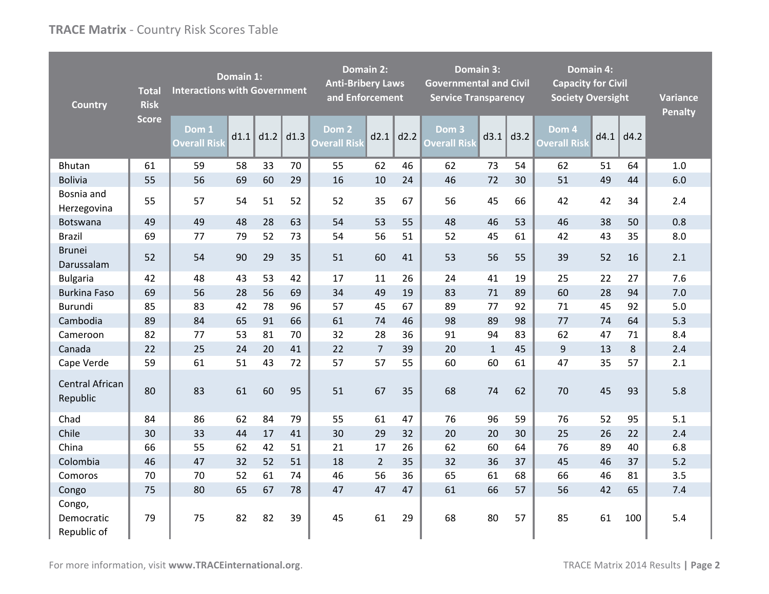| <b>Country</b>                      | <b>Total</b><br><b>Risk</b> | <b>Interactions with Government</b> | Domain 1: |      |      | <b>Domain 2:</b><br><b>Anti-Bribery Laws</b><br>and Enforcement |                | <b>Governmental and Civil</b><br><b>Service Transparency</b> | Domain 3:                    |              | <b>Capacity for Civil</b><br><b>Society Oversight</b> | <b>Domain 4:</b>             |      | <b>Variance</b><br><b>Penalty</b> |     |
|-------------------------------------|-----------------------------|-------------------------------------|-----------|------|------|-----------------------------------------------------------------|----------------|--------------------------------------------------------------|------------------------------|--------------|-------------------------------------------------------|------------------------------|------|-----------------------------------|-----|
|                                     | <b>Score</b>                | Dom 1<br><b>Overall Risk</b>        | d1.1      | d1.2 | d1.3 | Dom 2<br><b>Overall Risk</b>                                    | d2.1           | d2.2                                                         | Dom 3<br><b>Overall Risk</b> | d3.1         | d3.2                                                  | Dom 4<br><b>Overall Risk</b> | d4.1 | d4.2                              |     |
| <b>Bhutan</b>                       | 61                          | 59                                  | 58        | 33   | 70   | 55                                                              | 62             | 46                                                           | 62                           | 73           | 54                                                    | 62                           | 51   | 64                                | 1.0 |
| <b>Bolivia</b>                      | 55                          | 56                                  | 69        | 60   | 29   | 16                                                              | 10             | 24                                                           | 46                           | 72           | 30                                                    | 51                           | 49   | 44                                | 6.0 |
| Bosnia and<br>Herzegovina           | 55                          | 57                                  | 54        | 51   | 52   | 52                                                              | 35             | 67                                                           | 56                           | 45           | 66                                                    | 42                           | 42   | 34                                | 2.4 |
| Botswana                            | 49                          | 49                                  | 48        | 28   | 63   | 54                                                              | 53             | 55                                                           | 48                           | 46           | 53                                                    | 46                           | 38   | 50                                | 0.8 |
| <b>Brazil</b>                       | 69                          | 77                                  | 79        | 52   | 73   | 54                                                              | 56             | 51                                                           | 52                           | 45           | 61                                                    | 42                           | 43   | 35                                | 8.0 |
| <b>Brunei</b><br>Darussalam         | 52                          | 54                                  | 90        | 29   | 35   | 51                                                              | 60             | 41                                                           | 53                           | 56           | 55                                                    | 39                           | 52   | 16                                | 2.1 |
| <b>Bulgaria</b>                     | 42                          | 48                                  | 43        | 53   | 42   | 17                                                              | 11             | 26                                                           | 24                           | 41           | 19                                                    | 25                           | 22   | 27                                | 7.6 |
| <b>Burkina Faso</b>                 | 69                          | 56                                  | 28        | 56   | 69   | 34                                                              | 49             | 19                                                           | 83                           | 71           | 89                                                    | 60                           | 28   | 94                                | 7.0 |
| Burundi                             | 85                          | 83                                  | 42        | 78   | 96   | 57                                                              | 45             | 67                                                           | 89                           | 77           | 92                                                    | 71                           | 45   | 92                                | 5.0 |
| Cambodia                            | 89                          | 84                                  | 65        | 91   | 66   | 61                                                              | 74             | 46                                                           | 98                           | 89           | 98                                                    | 77                           | 74   | 64                                | 5.3 |
| Cameroon                            | 82                          | 77                                  | 53        | 81   | 70   | 32                                                              | 28             | 36                                                           | 91                           | 94           | 83                                                    | 62                           | 47   | 71                                | 8.4 |
| Canada                              | 22                          | 25                                  | 24        | 20   | 41   | 22                                                              | $\overline{7}$ | 39                                                           | 20                           | $\mathbf{1}$ | 45                                                    | 9                            | 13   | 8                                 | 2.4 |
| Cape Verde                          | 59                          | 61                                  | 51        | 43   | 72   | 57                                                              | 57             | 55                                                           | 60                           | 60           | 61                                                    | 47                           | 35   | 57                                | 2.1 |
| <b>Central African</b><br>Republic  | 80                          | 83                                  | 61        | 60   | 95   | 51                                                              | 67             | 35                                                           | 68                           | 74           | 62                                                    | 70                           | 45   | 93                                | 5.8 |
| Chad                                | 84                          | 86                                  | 62        | 84   | 79   | 55                                                              | 61             | 47                                                           | 76                           | 96           | 59                                                    | 76                           | 52   | 95                                | 5.1 |
| Chile                               | 30                          | 33                                  | 44        | 17   | 41   | 30                                                              | 29             | 32                                                           | 20                           | 20           | 30                                                    | 25                           | 26   | 22                                | 2.4 |
| China                               | 66                          | 55                                  | 62        | 42   | 51   | 21                                                              | 17             | 26                                                           | 62                           | 60           | 64                                                    | 76                           | 89   | 40                                | 6.8 |
| Colombia                            | 46                          | 47                                  | 32        | 52   | 51   | 18                                                              | $\overline{2}$ | 35                                                           | 32                           | 36           | 37                                                    | 45                           | 46   | 37                                | 5.2 |
| Comoros                             | 70                          | 70                                  | 52        | 61   | 74   | 46                                                              | 56             | 36                                                           | 65                           | 61           | 68                                                    | 66                           | 46   | 81                                | 3.5 |
| Congo                               | 75                          | 80                                  | 65        | 67   | 78   | 47                                                              | 47             | 47                                                           | 61                           | 66           | 57                                                    | 56                           | 42   | 65                                | 7.4 |
| Congo,<br>Democratic<br>Republic of | 79                          | 75                                  | 82        | 82   | 39   | 45                                                              | 61             | 29                                                           | 68                           | 80           | 57                                                    | 85                           | 61   | 100                               | 5.4 |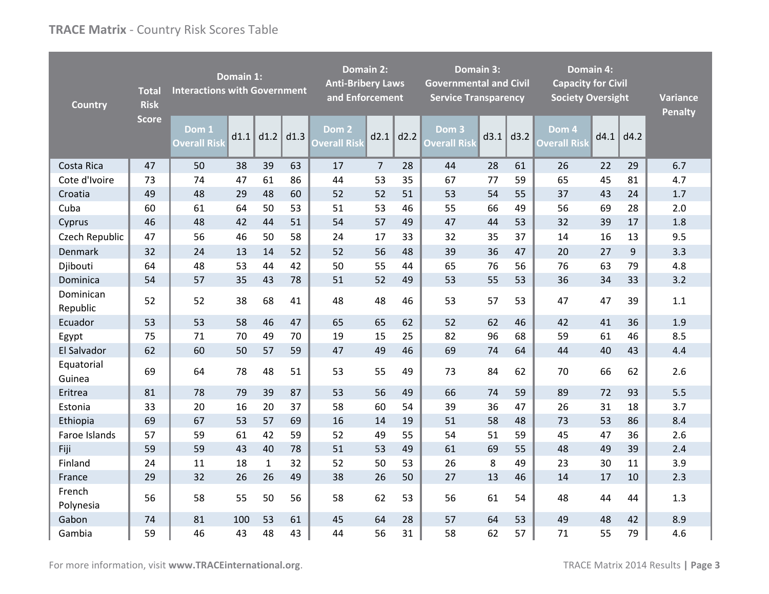| <b>Country</b>        | <b>Total</b><br><b>Risk</b> | <b>Interactions with Government</b> | Domain 1: |              |      | <b>Domain 2:</b><br><b>Anti-Bribery Laws</b><br>and Enforcement |                |      | <b>Governmental and Civil</b><br><b>Service Transparency</b> | Domain 3: |      | <b>Domain 4:</b><br><b>Capacity for Civil</b><br><b>Society Oversight</b> |      |      | <b>Variance</b><br><b>Penalty</b> |
|-----------------------|-----------------------------|-------------------------------------|-----------|--------------|------|-----------------------------------------------------------------|----------------|------|--------------------------------------------------------------|-----------|------|---------------------------------------------------------------------------|------|------|-----------------------------------|
|                       | <b>Score</b>                | Dom 1<br><b>Overall Risk</b>        | d1.1      | d1.2         | d1.3 | Dom 2<br><b>Overall Risk</b>                                    | d2.1           | d2.2 | Dom <sub>3</sub><br><b>Overall Risk</b>                      | d3.1      | d3.2 | Dom 4<br><b>Overall Risk</b>                                              | d4.1 | d4.2 |                                   |
| Costa Rica            | 47                          | 50                                  | 38        | 39           | 63   | 17                                                              | $\overline{7}$ | 28   | 44                                                           | 28        | 61   | 26                                                                        | 22   | 29   | 6.7                               |
| Cote d'Ivoire         | 73                          | 74                                  | 47        | 61           | 86   | 44                                                              | 53             | 35   | 67                                                           | 77        | 59   | 65                                                                        | 45   | 81   | 4.7                               |
| Croatia               | 49                          | 48                                  | 29        | 48           | 60   | 52                                                              | 52             | 51   | 53                                                           | 54        | 55   | 37                                                                        | 43   | 24   | 1.7                               |
| Cuba                  | 60                          | 61                                  | 64        | 50           | 53   | 51                                                              | 53             | 46   | 55                                                           | 66        | 49   | 56                                                                        | 69   | 28   | 2.0                               |
| Cyprus                | 46                          | 48                                  | 42        | 44           | 51   | 54                                                              | 57             | 49   | 47                                                           | 44        | 53   | 32                                                                        | 39   | 17   | 1.8                               |
| Czech Republic        | 47                          | 56                                  | 46        | 50           | 58   | 24                                                              | 17             | 33   | 32                                                           | 35        | 37   | 14                                                                        | 16   | 13   | 9.5                               |
| Denmark               | 32                          | 24                                  | 13        | 14           | 52   | 52                                                              | 56             | 48   | 39                                                           | 36        | 47   | 20                                                                        | 27   | 9    | 3.3                               |
| Djibouti              | 64                          | 48                                  | 53        | 44           | 42   | 50                                                              | 55             | 44   | 65                                                           | 76        | 56   | 76                                                                        | 63   | 79   | 4.8                               |
| Dominica              | 54                          | 57                                  | 35        | 43           | 78   | 51                                                              | 52             | 49   | 53                                                           | 55        | 53   | 36                                                                        | 34   | 33   | 3.2                               |
| Dominican<br>Republic | 52                          | 52                                  | 38        | 68           | 41   | 48                                                              | 48             | 46   | 53                                                           | 57        | 53   | 47                                                                        | 47   | 39   | 1.1                               |
| Ecuador               | 53                          | 53                                  | 58        | 46           | 47   | 65                                                              | 65             | 62   | 52                                                           | 62        | 46   | 42                                                                        | 41   | 36   | 1.9                               |
| Egypt                 | 75                          | 71                                  | 70        | 49           | 70   | 19                                                              | 15             | 25   | 82                                                           | 96        | 68   | 59                                                                        | 61   | 46   | 8.5                               |
| El Salvador           | 62                          | 60                                  | 50        | 57           | 59   | 47                                                              | 49             | 46   | 69                                                           | 74        | 64   | 44                                                                        | 40   | 43   | 4.4                               |
| Equatorial<br>Guinea  | 69                          | 64                                  | 78        | 48           | 51   | 53                                                              | 55             | 49   | 73                                                           | 84        | 62   | 70                                                                        | 66   | 62   | 2.6                               |
| Eritrea               | 81                          | 78                                  | 79        | 39           | 87   | 53                                                              | 56             | 49   | 66                                                           | 74        | 59   | 89                                                                        | 72   | 93   | 5.5                               |
| Estonia               | 33                          | 20                                  | 16        | 20           | 37   | 58                                                              | 60             | 54   | 39                                                           | 36        | 47   | 26                                                                        | 31   | 18   | 3.7                               |
| Ethiopia              | 69                          | 67                                  | 53        | 57           | 69   | 16                                                              | 14             | 19   | 51                                                           | 58        | 48   | 73                                                                        | 53   | 86   | 8.4                               |
| Faroe Islands         | 57                          | 59                                  | 61        | 42           | 59   | 52                                                              | 49             | 55   | 54                                                           | 51        | 59   | 45                                                                        | 47   | 36   | 2.6                               |
| Fiji                  | 59                          | 59                                  | 43        | 40           | 78   | 51                                                              | 53             | 49   | 61                                                           | 69        | 55   | 48                                                                        | 49   | 39   | 2.4                               |
| Finland               | 24                          | 11                                  | 18        | $\mathbf{1}$ | 32   | 52                                                              | 50             | 53   | 26                                                           | 8         | 49   | 23                                                                        | 30   | 11   | 3.9                               |
| France                | 29                          | 32                                  | 26        | 26           | 49   | 38                                                              | 26             | 50   | 27                                                           | 13        | 46   | 14                                                                        | 17   | 10   | 2.3                               |
| French<br>Polynesia   | 56                          | 58                                  | 55        | 50           | 56   | 58                                                              | 62             | 53   | 56                                                           | 61        | 54   | 48                                                                        | 44   | 44   | 1.3                               |
| Gabon                 | 74                          | 81                                  | 100       | 53           | 61   | 45                                                              | 64             | 28   | 57                                                           | 64        | 53   | 49                                                                        | 48   | 42   | 8.9                               |
| Gambia                | 59                          | 46                                  | 43        | 48           | 43   | 44                                                              | 56             | 31   | 58                                                           | 62        | 57   | 71                                                                        | 55   | 79   | 4.6                               |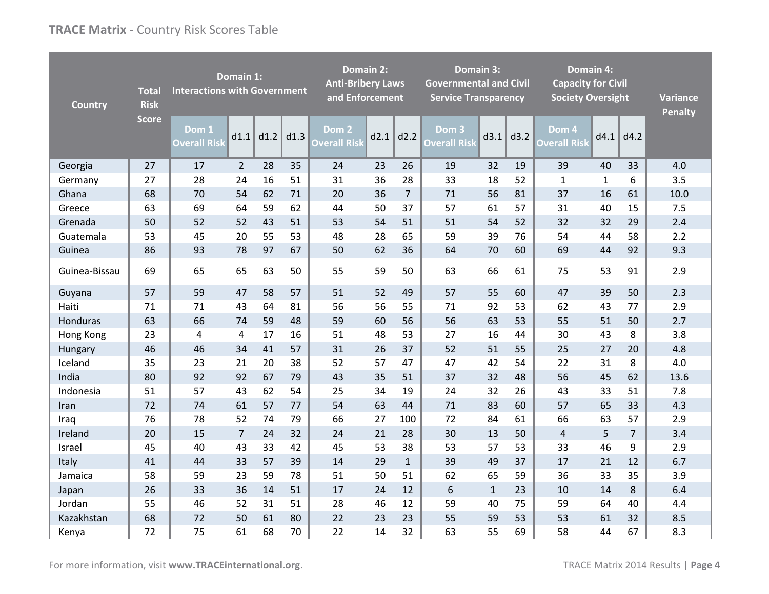| <b>Country</b> | <b>Total</b><br><b>Risk</b> | <b>Interactions with Government</b> | Domain 1:      |      |      | <b>Anti-Bribery Laws</b><br>and Enforcement | <b>Domain 2:</b> |                | <b>Governmental and Civil</b><br><b>Service Transparency</b> | Domain 3:    |      | <b>Domain 4:</b><br><b>Capacity for Civil</b><br><b>Society Oversight</b> |              |                | <b>Variance</b><br><b>Penalty</b> |
|----------------|-----------------------------|-------------------------------------|----------------|------|------|---------------------------------------------|------------------|----------------|--------------------------------------------------------------|--------------|------|---------------------------------------------------------------------------|--------------|----------------|-----------------------------------|
|                | <b>Score</b>                | Dom 1<br><b>Overall Risk</b>        | d1.1           | d1.2 | d1.3 | Dom 2<br><b>Overall Risk</b>                | d2.1             | d2.2           | Dom 3<br><b>Overall Risk</b>                                 | d3.1         | d3.2 | Dom 4<br><b>Overall Risk</b>                                              | d4.1         | d4.2           |                                   |
| Georgia        | 27                          | 17                                  | $\overline{2}$ | 28   | 35   | 24                                          | 23               | 26             | 19                                                           | 32           | 19   | 39                                                                        | 40           | 33             | 4.0                               |
| Germany        | 27                          | 28                                  | 24             | 16   | 51   | 31                                          | 36               | 28             | 33                                                           | 18           | 52   | $\mathbf{1}$                                                              | $\mathbf{1}$ | 6              | 3.5                               |
| Ghana          | 68                          | 70                                  | 54             | 62   | 71   | 20                                          | 36               | $\overline{7}$ | 71                                                           | 56           | 81   | 37                                                                        | 16           | 61             | 10.0                              |
| Greece         | 63                          | 69                                  | 64             | 59   | 62   | 44                                          | 50               | 37             | 57                                                           | 61           | 57   | 31                                                                        | 40           | 15             | 7.5                               |
| Grenada        | 50                          | 52                                  | 52             | 43   | 51   | 53                                          | 54               | 51             | 51                                                           | 54           | 52   | 32                                                                        | 32           | 29             | 2.4                               |
| Guatemala      | 53                          | 45                                  | 20             | 55   | 53   | 48                                          | 28               | 65             | 59                                                           | 39           | 76   | 54                                                                        | 44           | 58             | 2.2                               |
| Guinea         | 86                          | 93                                  | 78             | 97   | 67   | 50                                          | 62               | 36             | 64                                                           | 70           | 60   | 69                                                                        | 44           | 92             | 9.3                               |
| Guinea-Bissau  | 69                          | 65                                  | 65             | 63   | 50   | 55                                          | 59               | 50             | 63                                                           | 66           | 61   | 75                                                                        | 53           | 91             | 2.9                               |
| Guyana         | 57                          | 59                                  | 47             | 58   | 57   | 51                                          | 52               | 49             | 57                                                           | 55           | 60   | 47                                                                        | 39           | 50             | 2.3                               |
| Haiti          | 71                          | 71                                  | 43             | 64   | 81   | 56                                          | 56               | 55             | 71                                                           | 92           | 53   | 62                                                                        | 43           | 77             | 2.9                               |
| Honduras       | 63                          | 66                                  | 74             | 59   | 48   | 59                                          | 60               | 56             | 56                                                           | 63           | 53   | 55                                                                        | 51           | 50             | 2.7                               |
| Hong Kong      | 23                          | $\overline{4}$                      | 4              | 17   | 16   | 51                                          | 48               | 53             | 27                                                           | 16           | 44   | 30                                                                        | 43           | 8              | 3.8                               |
| Hungary        | 46                          | 46                                  | 34             | 41   | 57   | 31                                          | 26               | 37             | 52                                                           | 51           | 55   | 25                                                                        | 27           | 20             | 4.8                               |
| Iceland        | 35                          | 23                                  | 21             | 20   | 38   | 52                                          | 57               | 47             | 47                                                           | 42           | 54   | 22                                                                        | 31           | 8              | 4.0                               |
| India          | 80                          | 92                                  | 92             | 67   | 79   | 43                                          | 35               | 51             | 37                                                           | 32           | 48   | 56                                                                        | 45           | 62             | 13.6                              |
| Indonesia      | 51                          | 57                                  | 43             | 62   | 54   | 25                                          | 34               | 19             | 24                                                           | 32           | 26   | 43                                                                        | 33           | 51             | 7.8                               |
| Iran           | 72                          | 74                                  | 61             | 57   | 77   | 54                                          | 63               | 44             | 71                                                           | 83           | 60   | 57                                                                        | 65           | 33             | 4.3                               |
| Iraq           | 76                          | 78                                  | 52             | 74   | 79   | 66                                          | 27               | 100            | 72                                                           | 84           | 61   | 66                                                                        | 63           | 57             | 2.9                               |
| Ireland        | 20                          | 15                                  | $\overline{7}$ | 24   | 32   | 24                                          | 21               | 28             | 30                                                           | 13           | 50   | 4                                                                         | 5            | $\overline{7}$ | 3.4                               |
| Israel         | 45                          | 40                                  | 43             | 33   | 42   | 45                                          | 53               | 38             | 53                                                           | 57           | 53   | 33                                                                        | 46           | 9              | 2.9                               |
| Italy          | 41                          | 44                                  | 33             | 57   | 39   | 14                                          | 29               | $\mathbf{1}$   | 39                                                           | 49           | 37   | 17                                                                        | 21           | 12             | 6.7                               |
| Jamaica        | 58                          | 59                                  | 23             | 59   | 78   | 51                                          | 50               | 51             | 62                                                           | 65           | 59   | 36                                                                        | 33           | 35             | 3.9                               |
| Japan          | 26                          | 33                                  | 36             | 14   | 51   | 17                                          | 24               | 12             | 6                                                            | $\mathbf{1}$ | 23   | 10                                                                        | 14           | 8              | 6.4                               |
| Jordan         | 55                          | 46                                  | 52             | 31   | 51   | 28                                          | 46               | 12             | 59                                                           | 40           | 75   | 59                                                                        | 64           | 40             | 4.4                               |
| Kazakhstan     | 68                          | 72                                  | 50             | 61   | 80   | 22                                          | 23               | 23             | 55                                                           | 59           | 53   | 53                                                                        | 61           | 32             | 8.5                               |
| Kenya          | 72                          | 75                                  | 61             | 68   | 70   | 22                                          | 14               | 32             | 63                                                           | 55           | 69   | 58                                                                        | 44           | 67             | 8.3                               |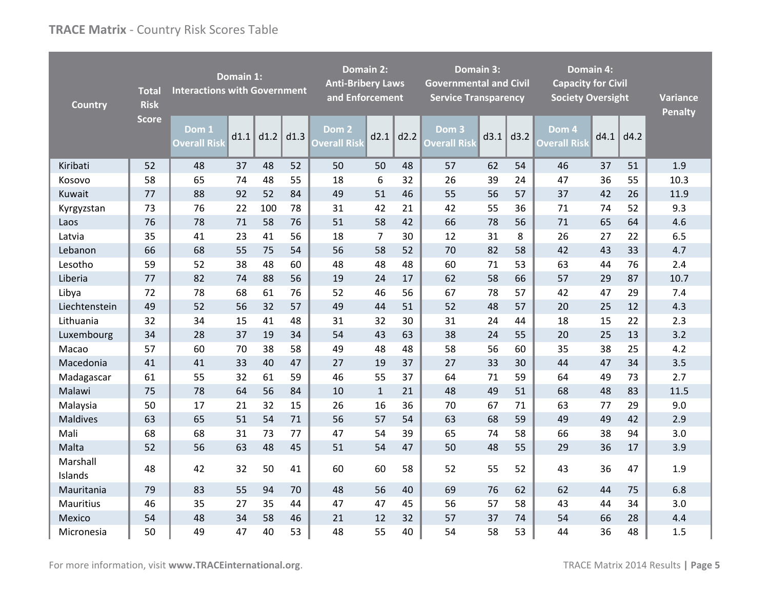| <b>Country</b>      | <b>Total</b><br><b>Risk</b> | <b>Interactions with Government</b> | Domain 1: |      |      | <b>Anti-Bribery Laws</b><br>and Enforcement | <b>Domain 2:</b> |      | <b>Governmental and Civil</b><br><b>Service Transparency</b> | Domain 3: |      | <b>Domain 4:</b><br><b>Capacity for Civil</b><br><b>Society Oversight</b> |      |      | <b>Variance</b><br><b>Penalty</b> |
|---------------------|-----------------------------|-------------------------------------|-----------|------|------|---------------------------------------------|------------------|------|--------------------------------------------------------------|-----------|------|---------------------------------------------------------------------------|------|------|-----------------------------------|
|                     | <b>Score</b>                | Dom 1<br><b>Overall Risk</b>        | d1.1      | d1.2 | d1.3 | Dom <sub>2</sub><br><b>Overall Risk</b>     | d2.1             | d2.2 | Dom <sub>3</sub><br><b>Overall Risk</b>                      | d3.1      | d3.2 | Dom 4<br><b>Overall Risk</b>                                              | d4.1 | d4.2 |                                   |
| Kiribati            | 52                          | 48                                  | 37        | 48   | 52   | 50                                          | 50               | 48   | 57                                                           | 62        | 54   | 46                                                                        | 37   | 51   | 1.9                               |
| Kosovo              | 58                          | 65                                  | 74        | 48   | 55   | 18                                          | 6                | 32   | 26                                                           | 39        | 24   | 47                                                                        | 36   | 55   | 10.3                              |
| Kuwait              | 77                          | 88                                  | 92        | 52   | 84   | 49                                          | 51               | 46   | 55                                                           | 56        | 57   | 37                                                                        | 42   | 26   | 11.9                              |
| Kyrgyzstan          | 73                          | 76                                  | 22        | 100  | 78   | 31                                          | 42               | 21   | 42                                                           | 55        | 36   | 71                                                                        | 74   | 52   | 9.3                               |
| Laos                | 76                          | 78                                  | 71        | 58   | 76   | 51                                          | 58               | 42   | 66                                                           | 78        | 56   | 71                                                                        | 65   | 64   | 4.6                               |
| Latvia              | 35                          | 41                                  | 23        | 41   | 56   | 18                                          | $\overline{7}$   | 30   | 12                                                           | 31        | 8    | 26                                                                        | 27   | 22   | 6.5                               |
| Lebanon             | 66                          | 68                                  | 55        | 75   | 54   | 56                                          | 58               | 52   | 70                                                           | 82        | 58   | 42                                                                        | 43   | 33   | 4.7                               |
| Lesotho             | 59                          | 52                                  | 38        | 48   | 60   | 48                                          | 48               | 48   | 60                                                           | 71        | 53   | 63                                                                        | 44   | 76   | 2.4                               |
| Liberia             | 77                          | 82                                  | 74        | 88   | 56   | 19                                          | 24               | 17   | 62                                                           | 58        | 66   | 57                                                                        | 29   | 87   | 10.7                              |
| Libya               | 72                          | 78                                  | 68        | 61   | 76   | 52                                          | 46               | 56   | 67                                                           | 78        | 57   | 42                                                                        | 47   | 29   | 7.4                               |
| Liechtenstein       | 49                          | 52                                  | 56        | 32   | 57   | 49                                          | 44               | 51   | 52                                                           | 48        | 57   | 20                                                                        | 25   | 12   | 4.3                               |
| Lithuania           | 32                          | 34                                  | 15        | 41   | 48   | 31                                          | 32               | 30   | 31                                                           | 24        | 44   | 18                                                                        | 15   | 22   | 2.3                               |
| Luxembourg          | 34                          | 28                                  | 37        | 19   | 34   | 54                                          | 43               | 63   | 38                                                           | 24        | 55   | 20                                                                        | 25   | 13   | 3.2                               |
| Macao               | 57                          | 60                                  | 70        | 38   | 58   | 49                                          | 48               | 48   | 58                                                           | 56        | 60   | 35                                                                        | 38   | 25   | 4.2                               |
| Macedonia           | 41                          | 41                                  | 33        | 40   | 47   | 27                                          | 19               | 37   | 27                                                           | 33        | 30   | 44                                                                        | 47   | 34   | 3.5                               |
| Madagascar          | 61                          | 55                                  | 32        | 61   | 59   | 46                                          | 55               | 37   | 64                                                           | 71        | 59   | 64                                                                        | 49   | 73   | 2.7                               |
| Malawi              | 75                          | 78                                  | 64        | 56   | 84   | 10                                          | $\mathbf{1}$     | 21   | 48                                                           | 49        | 51   | 68                                                                        | 48   | 83   | 11.5                              |
| Malaysia            | 50                          | 17                                  | 21        | 32   | 15   | 26                                          | 16               | 36   | 70                                                           | 67        | 71   | 63                                                                        | 77   | 29   | 9.0                               |
| <b>Maldives</b>     | 63                          | 65                                  | 51        | 54   | 71   | 56                                          | 57               | 54   | 63                                                           | 68        | 59   | 49                                                                        | 49   | 42   | 2.9                               |
| Mali                | 68                          | 68                                  | 31        | 73   | 77   | 47                                          | 54               | 39   | 65                                                           | 74        | 58   | 66                                                                        | 38   | 94   | 3.0                               |
| Malta               | 52                          | 56                                  | 63        | 48   | 45   | 51                                          | 54               | 47   | 50                                                           | 48        | 55   | 29                                                                        | 36   | 17   | 3.9                               |
| Marshall<br>Islands | 48                          | 42                                  | 32        | 50   | 41   | 60                                          | 60               | 58   | 52                                                           | 55        | 52   | 43                                                                        | 36   | 47   | 1.9                               |
| Mauritania          | 79                          | 83                                  | 55        | 94   | 70   | 48                                          | 56               | 40   | 69                                                           | 76        | 62   | 62                                                                        | 44   | 75   | 6.8                               |
| Mauritius           | 46                          | 35                                  | 27        | 35   | 44   | 47                                          | 47               | 45   | 56                                                           | 57        | 58   | 43                                                                        | 44   | 34   | 3.0                               |
| Mexico              | 54                          | 48                                  | 34        | 58   | 46   | 21                                          | 12               | 32   | 57                                                           | 37        | 74   | 54                                                                        | 66   | 28   | 4.4                               |
| Micronesia          | 50                          | 49                                  | 47        | 40   | 53   | 48                                          | 55               | 40   | 54                                                           | 58        | 53   | 44                                                                        | 36   | 48   | 1.5                               |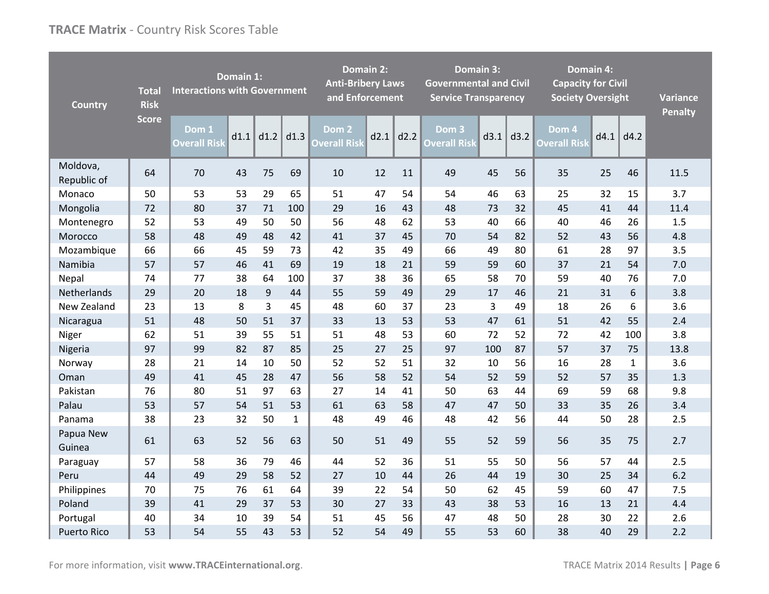| <b>Country</b>          | <b>Total</b><br><b>Risk</b> | <b>Interactions with Government</b> | Domain 1: |      |              | <b>Anti-Bribery Laws</b><br>and Enforcement | <b>Domain 2:</b> |      | <b>Domain 3:</b><br><b>Governmental and Civil</b><br><b>Service Transparency</b> |      |      | <b>Domain 4:</b><br><b>Capacity for Civil</b><br><b>Society Oversight</b> |      |              | <b>Variance</b><br><b>Penalty</b> |
|-------------------------|-----------------------------|-------------------------------------|-----------|------|--------------|---------------------------------------------|------------------|------|----------------------------------------------------------------------------------|------|------|---------------------------------------------------------------------------|------|--------------|-----------------------------------|
|                         | <b>Score</b>                | Dom 1<br><b>Overall Risk</b>        | d1.1      | d1.2 | d1.3         | Dom <sub>2</sub><br><b>Overall Risk</b>     | d2.1             | d2.2 | Dom 3<br><b>Overall Risk</b>                                                     | d3.1 | d3.2 | Dom 4<br><b>Overall Risk</b>                                              | d4.1 | d4.2         |                                   |
| Moldova,<br>Republic of | 64                          | 70                                  | 43        | 75   | 69           | 10                                          | 12               | 11   | 49                                                                               | 45   | 56   | 35                                                                        | 25   | 46           | 11.5                              |
| Monaco                  | 50                          | 53                                  | 53        | 29   | 65           | 51                                          | 47               | 54   | 54                                                                               | 46   | 63   | 25                                                                        | 32   | 15           | 3.7                               |
| Mongolia                | 72                          | 80                                  | 37        | 71   | 100          | 29                                          | 16               | 43   | 48                                                                               | 73   | 32   | 45                                                                        | 41   | 44           | 11.4                              |
| Montenegro              | 52                          | 53                                  | 49        | 50   | 50           | 56                                          | 48               | 62   | 53                                                                               | 40   | 66   | 40                                                                        | 46   | 26           | 1.5                               |
| Morocco                 | 58                          | 48                                  | 49        | 48   | 42           | 41                                          | 37               | 45   | 70                                                                               | 54   | 82   | 52                                                                        | 43   | 56           | 4.8                               |
| Mozambique              | 66                          | 66                                  | 45        | 59   | 73           | 42                                          | 35               | 49   | 66                                                                               | 49   | 80   | 61                                                                        | 28   | 97           | 3.5                               |
| Namibia                 | 57                          | 57                                  | 46        | 41   | 69           | 19                                          | 18               | 21   | 59                                                                               | 59   | 60   | 37                                                                        | 21   | 54           | 7.0                               |
| Nepal                   | 74                          | 77                                  | 38        | 64   | 100          | 37                                          | 38               | 36   | 65                                                                               | 58   | 70   | 59                                                                        | 40   | 76           | 7.0                               |
| Netherlands             | 29                          | 20                                  | 18        | 9    | 44           | 55                                          | 59               | 49   | 29                                                                               | 17   | 46   | 21                                                                        | 31   | 6            | 3.8                               |
| New Zealand             | 23                          | 13                                  | 8         | 3    | 45           | 48                                          | 60               | 37   | 23                                                                               | 3    | 49   | 18                                                                        | 26   | 6            | 3.6                               |
| Nicaragua               | 51                          | 48                                  | 50        | 51   | 37           | 33                                          | 13               | 53   | 53                                                                               | 47   | 61   | 51                                                                        | 42   | 55           | 2.4                               |
| Niger                   | 62                          | 51                                  | 39        | 55   | 51           | 51                                          | 48               | 53   | 60                                                                               | 72   | 52   | 72                                                                        | 42   | 100          | 3.8                               |
| Nigeria                 | 97                          | 99                                  | 82        | 87   | 85           | 25                                          | 27               | 25   | 97                                                                               | 100  | 87   | 57                                                                        | 37   | 75           | 13.8                              |
| Norway                  | 28                          | 21                                  | 14        | 10   | 50           | 52                                          | 52               | 51   | 32                                                                               | 10   | 56   | 16                                                                        | 28   | $\mathbf{1}$ | 3.6                               |
| Oman                    | 49                          | 41                                  | 45        | 28   | 47           | 56                                          | 58               | 52   | 54                                                                               | 52   | 59   | 52                                                                        | 57   | 35           | 1.3                               |
| Pakistan                | 76                          | 80                                  | 51        | 97   | 63           | 27                                          | 14               | 41   | 50                                                                               | 63   | 44   | 69                                                                        | 59   | 68           | 9.8                               |
| Palau                   | 53                          | 57                                  | 54        | 51   | 53           | 61                                          | 63               | 58   | 47                                                                               | 47   | 50   | 33                                                                        | 35   | 26           | 3.4                               |
| Panama                  | 38                          | 23                                  | 32        | 50   | $\mathbf{1}$ | 48                                          | 49               | 46   | 48                                                                               | 42   | 56   | 44                                                                        | 50   | 28           | 2.5                               |
| Papua New<br>Guinea     | 61                          | 63                                  | 52        | 56   | 63           | 50                                          | 51               | 49   | 55                                                                               | 52   | 59   | 56                                                                        | 35   | 75           | 2.7                               |
| Paraguay                | 57                          | 58                                  | 36        | 79   | 46           | 44                                          | 52               | 36   | 51                                                                               | 55   | 50   | 56                                                                        | 57   | 44           | 2.5                               |
| Peru                    | 44                          | 49                                  | 29        | 58   | 52           | 27                                          | 10               | 44   | 26                                                                               | 44   | 19   | 30                                                                        | 25   | 34           | 6.2                               |
| Philippines             | 70                          | 75                                  | 76        | 61   | 64           | 39                                          | 22               | 54   | 50                                                                               | 62   | 45   | 59                                                                        | 60   | 47           | 7.5                               |
| Poland                  | 39                          | 41                                  | 29        | 37   | 53           | 30                                          | 27               | 33   | 43                                                                               | 38   | 53   | 16                                                                        | 13   | 21           | 4.4                               |
| Portugal                | 40                          | 34                                  | 10        | 39   | 54           | 51                                          | 45               | 56   | 47                                                                               | 48   | 50   | 28                                                                        | 30   | 22           | 2.6                               |
| <b>Puerto Rico</b>      | 53                          | 54                                  | 55        | 43   | 53           | 52                                          | 54               | 49   | 55                                                                               | 53   | 60   | 38                                                                        | 40   | 29           | 2.2                               |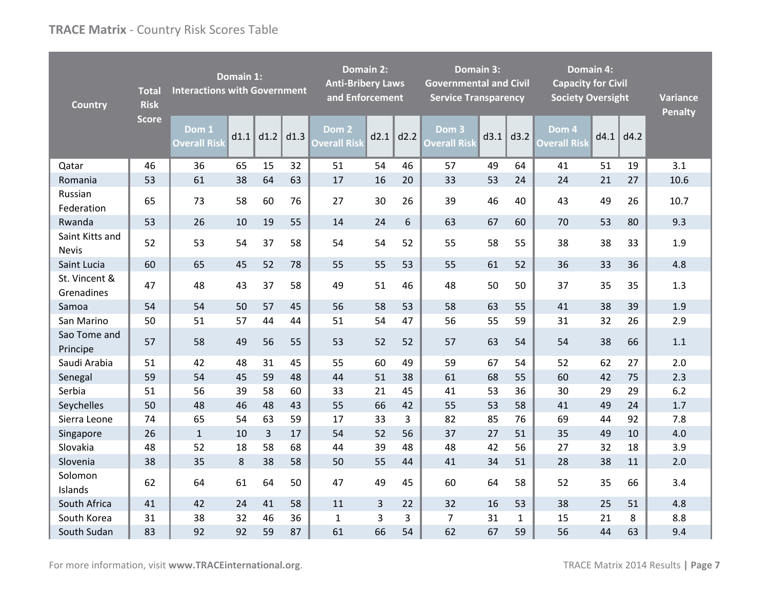| <b>Country</b>                  | <b>Total</b><br><b>Risk</b> | <b>Interactions with Government</b> | Domain 1: |      |      | <b>Domain 2:</b><br><b>Anti-Bribery Laws</b><br>and Enforcement |      |      | <b>Governmental and Civil</b><br><b>Service Transparency</b> | <b>Domain 3:</b> |              | <b>Capacity for Civil</b><br><b>Society Oversight</b> | <b>Domain 4:</b> |      | <b>Variance</b><br><b>Penalty</b> |
|---------------------------------|-----------------------------|-------------------------------------|-----------|------|------|-----------------------------------------------------------------|------|------|--------------------------------------------------------------|------------------|--------------|-------------------------------------------------------|------------------|------|-----------------------------------|
|                                 | <b>Score</b>                | Dom 1<br><b>Overall Risk</b>        | d1.1      | d1.2 | d1.3 | Dom <sub>2</sub><br><b>Overall Risk</b>                         | d2.1 | d2.2 | Dom 3<br><b>Overall Risk</b>                                 | d3.1             | d3.2         | Dom 4<br><b>Overall Risk</b>                          | d4.1             | dd.2 |                                   |
| Qatar                           | 46                          | 36                                  | 65        | 15   | 32   | 51                                                              | 54   | 46   | 57                                                           | 49               | 64           | 41                                                    | 51               | 19   | 3.1                               |
| Romania                         | 53                          | 61                                  | 38        | 64   | 63   | 17                                                              | 16   | 20   | 33                                                           | 53               | 24           | 24                                                    | 21               | 27   | 10.6                              |
| Russian<br>Federation           | 65                          | 73                                  | 58        | 60   | 76   | 27                                                              | 30   | 26   | 39                                                           | 46               | 40           | 43                                                    | 49               | 26   | 10.7                              |
| Rwanda                          | 53                          | 26                                  | 10        | 19   | 55   | 14                                                              | 24   | 6    | 63                                                           | 67               | 60           | 70                                                    | 53               | 80   | 9.3                               |
| Saint Kitts and<br><b>Nevis</b> | 52                          | 53                                  | 54        | 37   | 58   | 54                                                              | 54   | 52   | 55                                                           | 58               | 55           | 38                                                    | 38               | 33   | 1.9                               |
| Saint Lucia                     | 60                          | 65                                  | 45        | 52   | 78   | 55                                                              | 55   | 53   | 55                                                           | 61               | 52           | 36                                                    | 33               | 36   | 4.8                               |
| St. Vincent &<br>Grenadines     | 47                          | 48                                  | 43        | 37   | 58   | 49                                                              | 51   | 46   | 48                                                           | 50               | 50           | 37                                                    | 35               | 35   | 1.3                               |
| Samoa                           | 54                          | 54                                  | 50        | 57   | 45   | 56                                                              | 58   | 53   | 58                                                           | 63               | 55           | 41                                                    | 38               | 39   | 1.9                               |
| San Marino                      | 50                          | 51                                  | 57        | 44   | 44   | 51                                                              | 54   | 47   | 56                                                           | 55               | 59           | 31                                                    | 32               | 26   | 2.9                               |
| Sao Tome and<br>Principe        | 57                          | 58                                  | 49        | 56   | 55   | 53                                                              | 52   | 52   | 57                                                           | 63               | 54           | 54                                                    | 38               | 66   | 1.1                               |
| Saudi Arabia                    | 51                          | 42                                  | 48        | 31   | 45   | 55                                                              | 60   | 49   | 59                                                           | 67               | 54           | 52                                                    | 62               | 27   | 2.0                               |
| Senegal                         | 59                          | 54                                  | 45        | 59   | 48   | 44                                                              | 51   | 38   | 61                                                           | 68               | 55           | 60                                                    | 42               | 75   | 2.3                               |
| Serbia                          | 51                          | 56                                  | 39        | 58   | 60   | 33                                                              | 21   | 45   | 41                                                           | 53               | 36           | 30                                                    | 29               | 29   | $6.2$                             |
| Seychelles                      | 50                          | 48                                  | 46        | 48   | 43   | 55                                                              | 66   | 42   | 55                                                           | 53               | 58           | 41                                                    | 49               | 24   | 1.7                               |
| Sierra Leone                    | 74                          | 65                                  | 54        | 63   | 59   | 17                                                              | 33   | 3    | 82                                                           | 85               | 76           | 69                                                    | 44               | 92   | 7.8                               |
| Singapore                       | 26                          | $\mathbf{1}$                        | 10        | 3    | 17   | 54                                                              | 52   | 56   | 37                                                           | 27               | 51           | 35                                                    | 49               | 10   | 4.0                               |
| Slovakia                        | 48                          | 52                                  | 18        | 58   | 68   | 44                                                              | 39   | 48   | 48                                                           | 42               | 56           | 27                                                    | 32               | 18   | 3.9                               |
| Slovenia                        | 38                          | 35                                  | 8         | 38   | 58   | 50                                                              | 55   | 44   | 41                                                           | 34               | 51           | 28                                                    | 38               | 11   | 2.0                               |
| Solomon<br>Islands              | 62                          | 64                                  | 61        | 64   | 50   | 47                                                              | 49   | 45   | 60                                                           | 64               | 58           | 52                                                    | 35               | 66   | 3.4                               |
| South Africa                    | 41                          | 42                                  | 24        | 41   | 58   | 11                                                              | 3    | 22   | 32                                                           | 16               | 53           | 38                                                    | 25               | 51   | 4.8                               |
| South Korea                     | 31                          | 38                                  | 32        | 46   | 36   | 1                                                               | 3    | 3    | $\overline{7}$                                               | 31               | $\mathbf{1}$ | 15                                                    | 21               | 8    | 8.8                               |
| South Sudan                     | 83                          | 92                                  | 92        | 59   | 87   | 61                                                              | 66   | 54   | 62                                                           | 67               | 59           | 56                                                    | 44               | 63   | 9.4                               |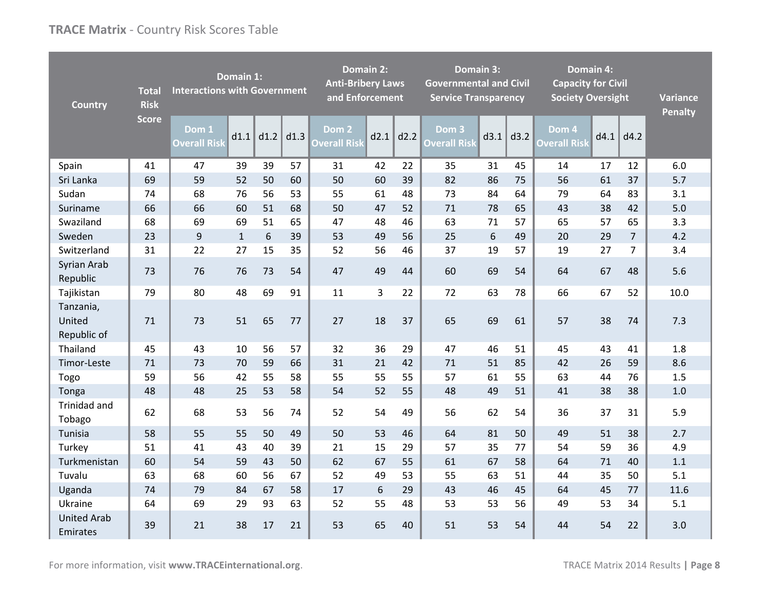| <b>Country</b>                     | <b>Total</b><br><b>Risk</b> | <b>Interactions with Government</b> | Domain 1:    |      |      | <b>Domain 2:</b><br><b>Anti-Bribery Laws</b><br>and Enforcement | Domain 3:<br><b>Governmental and Civil</b><br><b>Service Transparency</b> |      |                              | <b>Domain 4:</b><br><b>Capacity for Civil</b><br><b>Society Oversight</b> |      |                              | <b>Variance</b><br><b>Penalty</b> |                |      |
|------------------------------------|-----------------------------|-------------------------------------|--------------|------|------|-----------------------------------------------------------------|---------------------------------------------------------------------------|------|------------------------------|---------------------------------------------------------------------------|------|------------------------------|-----------------------------------|----------------|------|
|                                    | <b>Score</b>                | Dom 1<br><b>Overall Risk</b>        | d1.1         | d1.2 | d1.3 | Dom 2<br><b>Overall Risk</b>                                    | d2.1                                                                      | d2.2 | Dom 3<br><b>Overall Risk</b> | d3.1                                                                      | d3.2 | Dom 4<br><b>Overall Risk</b> | d4.1                              | d4.2           |      |
| Spain                              | 41                          | 47                                  | 39           | 39   | 57   | 31                                                              | 42                                                                        | 22   | 35                           | 31                                                                        | 45   | 14                           | 17                                | 12             | 6.0  |
| Sri Lanka                          | 69                          | 59                                  | 52           | 50   | 60   | 50                                                              | 60                                                                        | 39   | 82                           | 86                                                                        | 75   | 56                           | 61                                | 37             | 5.7  |
| Sudan                              | 74                          | 68                                  | 76           | 56   | 53   | 55                                                              | 61                                                                        | 48   | 73                           | 84                                                                        | 64   | 79                           | 64                                | 83             | 3.1  |
| Suriname                           | 66                          | 66                                  | 60           | 51   | 68   | 50                                                              | 47                                                                        | 52   | 71                           | 78                                                                        | 65   | 43                           | 38                                | 42             | 5.0  |
| Swaziland                          | 68                          | 69                                  | 69           | 51   | 65   | 47                                                              | 48                                                                        | 46   | 63                           | 71                                                                        | 57   | 65                           | 57                                | 65             | 3.3  |
| Sweden                             | 23                          | 9                                   | $\mathbf{1}$ | 6    | 39   | 53                                                              | 49                                                                        | 56   | 25                           | 6                                                                         | 49   | 20                           | 29                                | $\overline{7}$ | 4.2  |
| Switzerland                        | 31                          | 22                                  | 27           | 15   | 35   | 52                                                              | 56                                                                        | 46   | 37                           | 19                                                                        | 57   | 19                           | 27                                | 7              | 3.4  |
| Syrian Arab<br>Republic            | 73                          | 76                                  | 76           | 73   | 54   | 47                                                              | 49                                                                        | 44   | 60                           | 69                                                                        | 54   | 64                           | 67                                | 48             | 5.6  |
| Tajikistan                         | 79                          | 80                                  | 48           | 69   | 91   | 11                                                              | 3                                                                         | 22   | 72                           | 63                                                                        | 78   | 66                           | 67                                | 52             | 10.0 |
| Tanzania,<br>United<br>Republic of | 71                          | 73                                  | 51           | 65   | 77   | 27                                                              | 18                                                                        | 37   | 65                           | 69                                                                        | 61   | 57                           | 38                                | 74             | 7.3  |
| Thailand                           | 45                          | 43                                  | 10           | 56   | 57   | 32                                                              | 36                                                                        | 29   | 47                           | 46                                                                        | 51   | 45                           | 43                                | 41             | 1.8  |
| Timor-Leste                        | 71                          | 73                                  | 70           | 59   | 66   | 31                                                              | 21                                                                        | 42   | 71                           | 51                                                                        | 85   | 42                           | 26                                | 59             | 8.6  |
| Togo                               | 59                          | 56                                  | 42           | 55   | 58   | 55                                                              | 55                                                                        | 55   | 57                           | 61                                                                        | 55   | 63                           | 44                                | 76             | 1.5  |
| Tonga                              | 48                          | 48                                  | 25           | 53   | 58   | 54                                                              | 52                                                                        | 55   | 48                           | 49                                                                        | 51   | 41                           | 38                                | 38             | 1.0  |
| Trinidad and<br>Tobago             | 62                          | 68                                  | 53           | 56   | 74   | 52                                                              | 54                                                                        | 49   | 56                           | 62                                                                        | 54   | 36                           | 37                                | 31             | 5.9  |
| Tunisia                            | 58                          | 55                                  | 55           | 50   | 49   | 50                                                              | 53                                                                        | 46   | 64                           | 81                                                                        | 50   | 49                           | 51                                | 38             | 2.7  |
| Turkey                             | 51                          | 41                                  | 43           | 40   | 39   | 21                                                              | 15                                                                        | 29   | 57                           | 35                                                                        | 77   | 54                           | 59                                | 36             | 4.9  |
| Turkmenistan                       | 60                          | 54                                  | 59           | 43   | 50   | 62                                                              | 67                                                                        | 55   | 61                           | 67                                                                        | 58   | 64                           | 71                                | 40             | 1.1  |
| Tuvalu                             | 63                          | 68                                  | 60           | 56   | 67   | 52                                                              | 49                                                                        | 53   | 55                           | 63                                                                        | 51   | 44                           | 35                                | 50             | 5.1  |
| Uganda                             | 74                          | 79                                  | 84           | 67   | 58   | 17                                                              | 6                                                                         | 29   | 43                           | 46                                                                        | 45   | 64                           | 45                                | 77             | 11.6 |
| Ukraine                            | 64                          | 69                                  | 29           | 93   | 63   | 52                                                              | 55                                                                        | 48   | 53                           | 53                                                                        | 56   | 49                           | 53                                | 34             | 5.1  |
| <b>United Arab</b><br>Emirates     | 39                          | 21                                  | 38           | 17   | 21   | 53                                                              | 65                                                                        | 40   | 51                           | 53                                                                        | 54   | 44                           | 54                                | 22             | 3.0  |